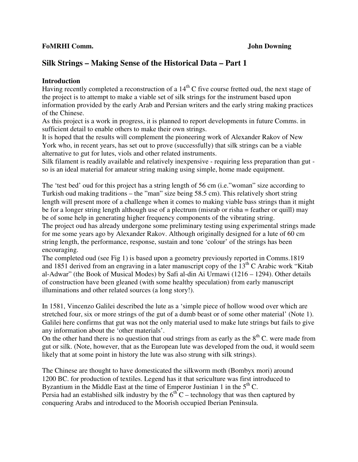#### **FoMRHI Comm. John Downing**

# **Silk Strings – Making Sense of the Historical Data – Part 1**

### **Introduction**

Having recently completed a reconstruction of a  $14<sup>th</sup>$ C five course fretted oud, the next stage of the project is to attempt to make a viable set of silk strings for the instrument based upon information provided by the early Arab and Persian writers and the early string making practices of the Chinese.

As this project is a work in progress, it is planned to report developments in future Comms. in sufficient detail to enable others to make their own strings.

It is hoped that the results will complement the pioneering work of Alexander Rakov of New York who, in recent years, has set out to prove (successfully) that silk strings can be a viable alternative to gut for lutes, viols and other related instruments.

Silk filament is readily available and relatively inexpensive - requiring less preparation than gut so is an ideal material for amateur string making using simple, home made equipment.

The 'test bed' oud for this project has a string length of 56 cm (i.e."woman" size according to Turkish oud making traditions – the "man" size being 58.5 cm). This relatively short string length will present more of a challenge when it comes to making viable bass strings than it might be for a longer string length although use of a plectrum (misrab or risha = feather or quill) may be of some help in generating higher frequency components of the vibrating string.

The project oud has already undergone some preliminary testing using experimental strings made for me some years ago by Alexander Rakov. Although originally designed for a lute of 60 cm string length, the performance, response, sustain and tone 'colour' of the strings has been encouraging.

The completed oud (see Fig 1) is based upon a geometry previously reported in Comms.1819 and 1851 derived from an engraving in a later manuscript copy of the  $13<sup>th</sup>$  C Arabic work "Kitab" al-Adwar" (the Book of Musical Modes) by Safi al-din Ai Urmawi (1216 – 1294). Other details of construction have been gleaned (with some healthy speculation) from early manuscript illuminations and other related sources (a long story!).

In 1581, Vincenzo Galilei described the lute as a 'simple piece of hollow wood over which are stretched four, six or more strings of the gut of a dumb beast or of some other material' (Note 1). Galilei here confirms that gut was not the only material used to make lute strings but fails to give any information about the 'other materials'.

On the other hand there is no question that oud strings from as early as the  $8<sup>th</sup>$  C. were made from gut or silk. (Note, however, that as the European lute was developed from the oud, it would seem likely that at some point in history the lute was also strung with silk strings).

The Chinese are thought to have domesticated the silkworm moth (Bombyx mori) around 1200 BC. for production of textiles. Legend has it that sericulture was first introduced to Byzantium in the Middle East at the time of Emperor Justinian 1 in the  $5<sup>th</sup>$  C. Persia had an established silk industry by the  $6<sup>th</sup>C$  – technology that was then captured by conquering Arabs and introduced to the Moorish occupied Iberian Peninsula.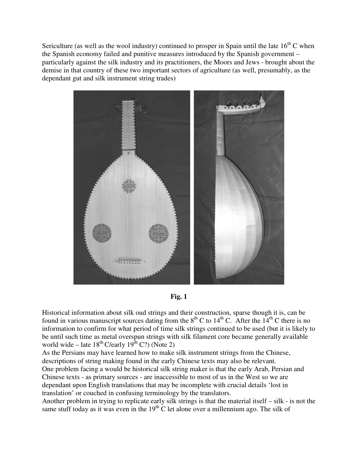Sericulture (as well as the wool industry) continued to prosper in Spain until the late  $16<sup>th</sup>$ C when the Spanish economy failed and punitive measures introduced by the Spanish government – particularly against the silk industry and its practitioners, the Moors and Jews - brought about the demise in that country of these two important sectors of agriculture (as well, presumably, as the dependant gut and silk instrument string trades)



**Fig. 1** 

Historical information about silk oud strings and their construction, sparse though it is, can be found in various manuscript sources dating from the  $8<sup>th</sup>$  C to  $14<sup>th</sup>$  C. After the  $14<sup>th</sup>$  C there is no information to confirm for what period of time silk strings continued to be used (but it is likely to be until such time as metal overspun strings with silk filament core became generally available world wide – late  $18^{th}$  C/early  $19^{th}$  C?) (Note 2)

As the Persians may have learned how to make silk instrument strings from the Chinese, descriptions of string making found in the early Chinese texts may also be relevant.

One problem facing a would be historical silk string maker is that the early Arab, Persian and Chinese texts - as primary sources - are inaccessible to most of us in the West so we are dependant upon English translations that may be incomplete with crucial details 'lost in translation' or couched in confusing terminology by the translators.

Another problem in trying to replicate early silk strings is that the material itself – silk - is not the same stuff today as it was even in the  $19<sup>th</sup>$  C let alone over a millennium ago. The silk of